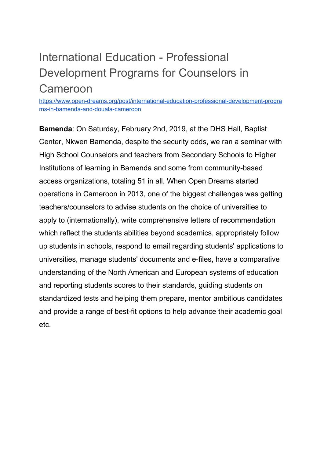## International Education - Professional Development Programs for Counselors in Cameroon

[https://www.open-dreams.org/post/international-education-professional-development-progra](https://www.open-dreams.org/post/international-education-professional-development-programs-in-bamenda-and-douala-cameroon) [ms-in-bamenda-and-douala-cameroon](https://www.open-dreams.org/post/international-education-professional-development-programs-in-bamenda-and-douala-cameroon)

**Bamenda**: On Saturday, February 2nd, 2019, at the DHS Hall, Baptist Center, Nkwen Bamenda, despite the security odds, we ran a seminar with High School Counselors and teachers from Secondary Schools to Higher Institutions of learning in Bamenda and some from community-based access organizations, totaling 51 in all. When Open Dreams started operations in Cameroon in 2013, one of the biggest challenges was getting teachers/counselors to advise students on the choice of universities to apply to (internationally), write comprehensive letters of recommendation which reflect the students abilities beyond academics, appropriately follow up students in schools, respond to email regarding students' applications to universities, manage students' documents and e-files, have a comparative understanding of the North American and European systems of education and reporting students scores to their standards, guiding students on standardized tests and helping them prepare, mentor ambitious candidates and provide a range of best-fit options to help advance their academic goal etc.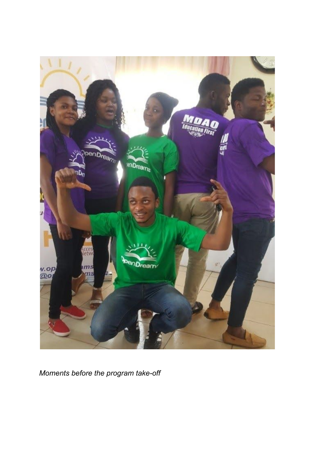

*Moments before the program take-off*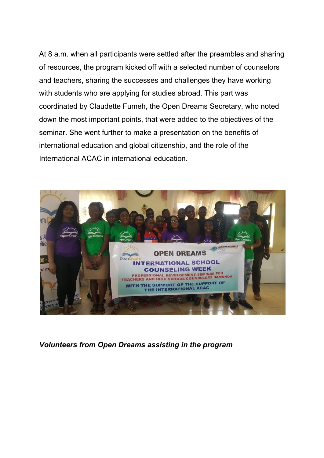At 8 a.m. when all participants were settled after the preambles and sharing of resources, the program kicked off with a selected number of counselors and teachers, sharing the successes and challenges they have working with students who are applying for studies abroad. This part was coordinated by Claudette Fumeh, the Open Dreams Secretary, who noted down the most important points, that were added to the objectives of the seminar. She went further to make a presentation on the benefits of international education and global citizenship, and the role of the International ACAC in international education.



*Volunteers from Open Dreams assisting in the program*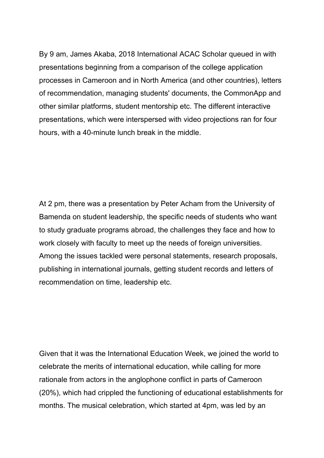By 9 am, James Akaba, 2018 International ACAC Scholar queued in with presentations beginning from a comparison of the college application processes in Cameroon and in North America (and other countries), letters of recommendation, managing students' documents, the CommonApp and other similar platforms, student mentorship etc. The different interactive presentations, which were interspersed with video projections ran for four hours, with a 40-minute lunch break in the middle.

At 2 pm, there was a presentation by Peter Acham from the University of Bamenda on student leadership, the specific needs of students who want to study graduate programs abroad, the challenges they face and how to work closely with faculty to meet up the needs of foreign universities. Among the issues tackled were personal statements, research proposals, publishing in international journals, getting student records and letters of recommendation on time, leadership etc.

Given that it was the International Education Week, we joined the world to celebrate the merits of international education, while calling for more rationale from actors in the anglophone conflict in parts of Cameroon (20%), which had crippled the functioning of educational establishments for months. The musical celebration, which started at 4pm, was led by an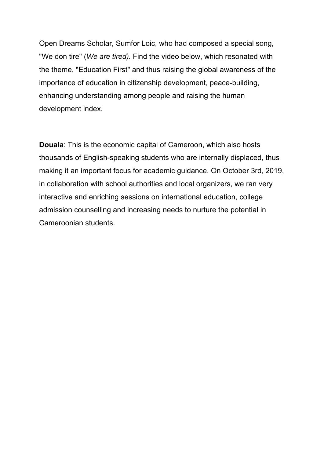Open Dreams Scholar, Sumfor Loic, who had composed a special song, "We don tire" (*We are tired).* Find the video below, which resonated with the theme, "Education First" and thus raising the global awareness of the importance of education in citizenship development, peace-building, enhancing understanding among people and raising the human development index.

**Douala**: This is the economic capital of Cameroon, which also hosts thousands of English-speaking students who are internally displaced, thus making it an important focus for academic guidance. On October 3rd, 2019, in collaboration with school authorities and local organizers, we ran very interactive and enriching sessions on international education, college admission counselling and increasing needs to nurture the potential in Cameroonian students.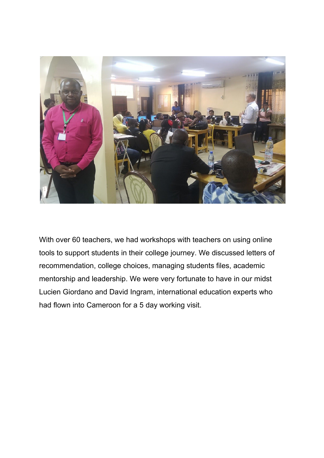

With over 60 teachers, we had workshops with teachers on using online tools to support students in their college journey. We discussed letters of recommendation, college choices, managing students files, academic mentorship and leadership. We were very fortunate to have in our midst Lucien Giordano and David Ingram, international education experts who had flown into Cameroon for a 5 day working visit.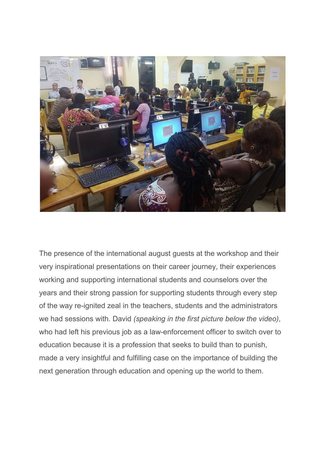

The presence of the international august guests at the workshop and their very inspirational presentations on their career journey, their experiences working and supporting international students and counselors over the years and their strong passion for supporting students through every step of the way re-ignited zeal in the teachers, students and the administrators we had sessions with. David *(speaking in the first picture below the video)*, who had left his previous job as a law-enforcement officer to switch over to education because it is a profession that seeks to build than to punish, made a very insightful and fulfilling case on the importance of building the next generation through education and opening up the world to them.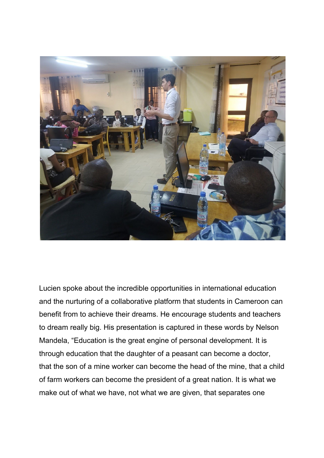

Lucien spoke about the incredible opportunities in international education and the nurturing of a collaborative platform that students in Cameroon can benefit from to achieve their dreams. He encourage students and teachers to dream really big. His presentation is captured in these words by Nelson Mandela, "Education is the great engine of personal development. It is through education that the daughter of a peasant can become a doctor, that the son of a mine worker can become the head of the mine, that a child of farm workers can become the president of a great nation. It is what we make out of what we have, not what we are given, that separates one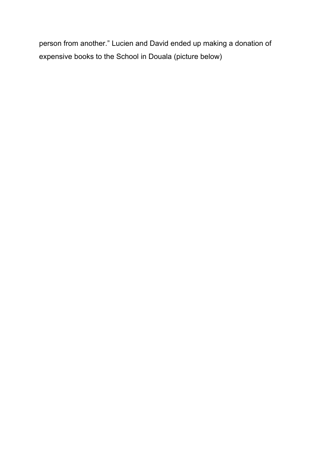person from another." Lucien and David ended up making a donation of expensive books to the School in Douala (picture below)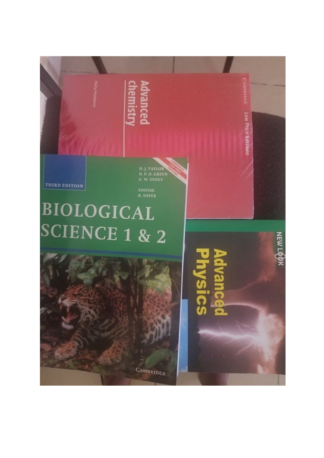